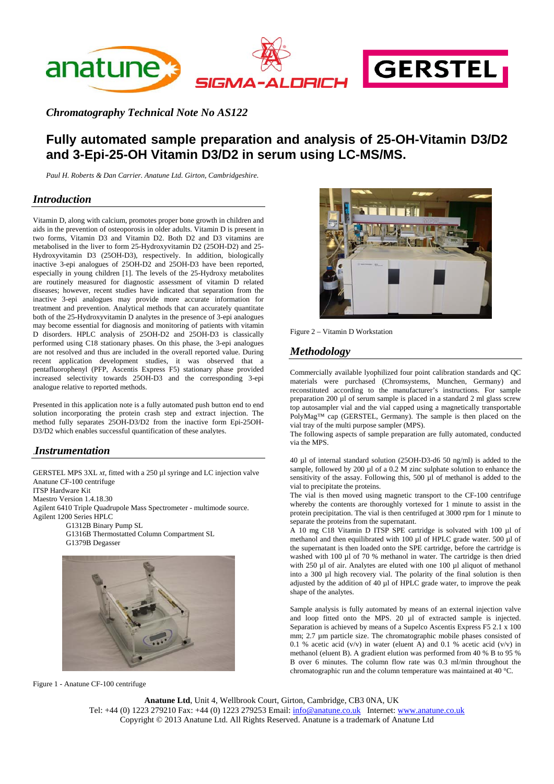

*Chromatography Technical Note No AS122* 

## **Fully automated sample preparation and analysis of 25-OH-Vitamin D3/D2 and 3-Epi-25-OH Vitamin D3/D2 in serum using LC-MS/MS.**

*Paul H. Roberts & Dan Carrier. Anatune Ltd. Girton, Cambridgeshire.*

### *Introduction*

Vitamin D, along with calcium, promotes proper bone growth in children and aids in the prevention of osteoporosis in older adults. Vitamin D is present in two forms, Vitamin D3 and Vitamin D2. Both D2 and D3 vitamins are metabolised in the liver to form 25-Hydroxyvitamin D2 (25OH-D2) and 25- Hydroxyvitamin D3 (25OH-D3), respectively. In addition, biologically inactive 3-epi analogues of 25OH-D2 and 25OH-D3 have been reported, especially in young children [1]. The levels of the 25-Hydroxy metabolites are routinely measured for diagnostic assessment of vitamin D related diseases; however, recent studies have indicated that separation from the inactive 3-epi analogues may provide more accurate information for treatment and prevention. Analytical methods that can accurately quantitate both of the 25-Hydroxyvitamin D analytes in the presence of 3-epi analogues may become essential for diagnosis and monitoring of patients with vitamin D disorders. HPLC analysis of 25OH-D2 and 25OH-D3 is classically performed using C18 stationary phases. On this phase, the 3-epi analogues are not resolved and thus are included in the overall reported value. During recent application development studies, it was observed that a pentafluorophenyl (PFP, Ascentis Express F5) stationary phase provided increased selectivity towards 25OH-D3 and the corresponding 3-epi analogue relative to reported methods.

Presented in this application note is a fully automated push button end to end solution incorporating the protein crash step and extract injection. The method fully separates 25OH-D3/D2 from the inactive form Epi-25OH-D3/D2 which enables successful quantification of these analytes.

### .*Instrumentation*

GERSTEL MPS 3XL *xt*, fitted with a 250 µl syringe and LC injection valve Anatune CF-100 centrifuge

ITSP Hardware Kit Maestro Version 1.4.18.30 Agilent 6410 Triple Quadrupole Mass Spectrometer - multimode source.

Agilent 1200 Series HPLC G1312B Binary Pump SL G1316B Thermostatted Column Compartment SL G1379B Degasser



Figure 1 - Anatune CF-100 centrifuge



Figure 2 – Vitamin D Workstation

### *Methodology*

Commercially available lyophilized four point calibration standards and QC materials were purchased (Chromsystems, Munchen, Germany) and reconstituted according to the manufacturer's instructions. For sample preparation 200 µl of serum sample is placed in a standard 2 ml glass screw top autosampler vial and the vial capped using a magnetically transportable PolyMag™ cap (GERSTEL, Germany). The sample is then placed on the vial tray of the multi purpose sampler (MPS).

The following aspects of sample preparation are fully automated, conducted via the MPS.

40 µl of internal standard solution (25OH-D3-d6 50 ng/ml) is added to the sample, followed by 200 µl of a 0.2 M zinc sulphate solution to enhance the sensitivity of the assay. Following this, 500  $\mu$ l of methanol is added to the vial to precipitate the proteins.

The vial is then moved using magnetic transport to the CF-100 centrifuge whereby the contents are thoroughly vortexed for 1 minute to assist in the protein precipitation. The vial is then centrifuged at 3000 rpm for 1 minute to separate the proteins from the supernatant.

A 10 mg C18 Vitamin D ITSP SPE cartridge is solvated with 100 µl of methanol and then equilibrated with 100 µl of HPLC grade water. 500 µl of the supernatant is then loaded onto the SPE cartridge, before the cartridge is washed with 100 µl of 70 % methanol in water. The cartridge is then dried with 250 µl of air. Analytes are eluted with one 100 µl aliquot of methanol into a 300 µl high recovery vial. The polarity of the final solution is then adjusted by the addition of 40 µl of HPLC grade water, to improve the peak shape of the analytes.

Sample analysis is fully automated by means of an external injection valve and loop fitted onto the MPS. 20 µl of extracted sample is injected. Separation is achieved by means of a Supelco Ascentis Express F5 2.1 x 100 mm; 2.7  $\mu$ m particle size. The chromatographic mobile phases consisted of 0.1 % acetic acid (v/v) in water (eluent A) and 0.1 % acetic acid (v/v) in methanol (eluent B). A gradient elution was performed from 40 % B to 95 % B over 6 minutes. The column flow rate was 0.3 ml/min throughout the chromatographic run and the column temperature was maintained at 40 °C.

**Anatune Ltd**, Unit 4, Wellbrook Court, Girton, Cambridge, CB3 0NA, UK Tel: +44 (0) 1223 279210 Fax: +44 (0) 1223 279253 Email: info@anatune.co.uk Internet: www.anatune.co.uk Copyright © 2013 Anatune Ltd. All Rights Reserved. Anatune is a trademark of Anatune Ltd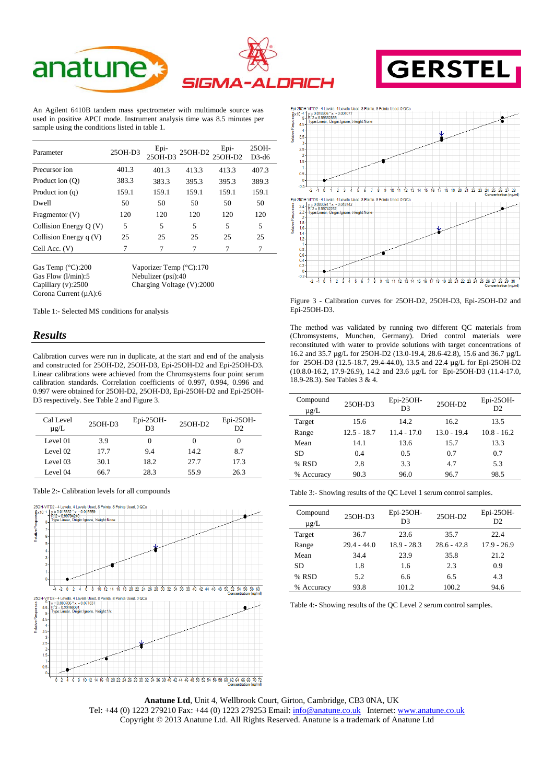

# **GERSTEL**

An Agilent 6410B tandem mass spectrometer with multimode source was used in positive APCI mode. Instrument analysis time was 8.5 minutes per sample using the conditions listed in table 1.

| Parameter               | 250H-D3 | Epi-<br>25OH-D3 | 25OH-D2 | Epi-  | 25OH-<br>$D3-d6$ |
|-------------------------|---------|-----------------|---------|-------|------------------|
| Precursor ion           | 401.3   | 401.3           | 413.3   | 413.3 | 407.3            |
| Product ion (O)         | 383.3   | 383.3           | 395.3   | 395.3 | 389.3            |
| Product ion $(q)$       | 159.1   | 159.1           | 159.1   | 159.1 | 159.1            |
| Dwell                   | 50      | 50              | 50      | 50    | 50               |
| Fragmentor $(V)$        | 120     | 120             | 120     | 120   | 120              |
| Collision Energy Q (V)  | 5       | 5               | 5       | 5     | 5                |
| Collision Energy $q(V)$ | 25      | 25              | 25      | 25    | 25               |
| Cell Acc. (V)           |         | 7               | 7       | 7     | 7                |

Gas Flow (l/min):5 Nebulizer (psi):40 Corona Current (µA):6

Gas Temp (°C):200 Vaporizer Temp (°C):170 Capillary (v):2500 Charging Voltage (V):2000

Table 1:- Selected MS conditions for analysis

#### *Results*

Calibration curves were run in duplicate, at the start and end of the analysis and constructed for 25OH-D2, 25OH-D3, Epi-25OH-D2 and Epi-25OH-D3. Linear calibrations were achieved from the Chromsystems four point serum calibration standards. Correlation coefficients of 0.997, 0.994, 0.996 and 0.997 were obtained for 25OH-D2, 25OH-D3, Epi-25OH-D2 and Epi-25OH-D3 respectively. See Table 2 and Figure 3.

| Cal Level<br>$\mu$ g/L | 25OH-D3 | $Epi-25OH-$<br>D <sub>3</sub> | 25OH-D2 | $Epi-25OH-$<br>D2 |
|------------------------|---------|-------------------------------|---------|-------------------|
| Level 01               | 3.9     |                               | 0       |                   |
| Level 02               | 17.7    | 9.4                           | 14.2.   | 8.7               |
| Level 03               | 30.1    | 18.2                          | 27.7    | 17.3              |
| Level 04               | 66.7    | 28.3                          | 55.9    | 26.3              |

Table 2:- Calibration levels for all compounds





Figure 3 - Calibration curves for 25OH-D2, 25OH-D3, Epi-25OH-D2 and Epi-25OH-D3.

The method was validated by running two different QC materials from (Chromsystems, Munchen, Germany). Dried control materials were reconstituted with water to provide solutions with target concentrations of 16.2 and 35.7 µg/L for 25OH-D2 (13.0-19.4, 28.6-42.8), 15.6 and 36.7 µg/L for 25OH-D3 (12.5-18.7, 29.4-44.0), 13.5 and 22.4 µg/L for Epi-25OH-D2 (10.8.0-16.2, 17.9-26.9), 14.2 and 23.6 µg/L for Epi-25OH-D3 (11.4-17.0, 18.9-28.3). See Tables 3 & 4.

| Compound<br>$\mu$ g/L | 25OH-D3       | $Epi-25OH-$<br>D <sub>3</sub> | 25OH-D2       | $Epi-25OH-$<br>D2 |
|-----------------------|---------------|-------------------------------|---------------|-------------------|
| Target                | 15.6          | 14.2                          | 16.2          | 13.5              |
| Range                 | $12.5 - 18.7$ | $11.4 - 17.0$                 | $13.0 - 19.4$ | $10.8 - 16.2$     |
| Mean                  | 14.1          | 13.6                          | 15.7          | 13.3              |
| SD                    | 0.4           | 0.5                           | 0.7           | 0.7               |
| % RSD                 | 2.8           | 3.3                           | 4.7           | 5.3               |
| % Accuracy            | 90.3          | 96.0                          | 96.7          | 98.5              |

Table 3:- Showing results of the QC Level 1 serum control samples.

| Compound   | 250H-D3       | $Epi-25OH-$    | 250H-D2       | $Epi-25OH-$   |
|------------|---------------|----------------|---------------|---------------|
| $\mu$ g/L  |               | D <sub>3</sub> |               | D2            |
| Target     | 36.7          | 23.6           | 35.7          | 22.4          |
| Range      | $29.4 - 44.0$ | $18.9 - 28.3$  | $28.6 - 42.8$ | $17.9 - 26.9$ |
| Mean       | 34.4          | 23.9           | 35.8          | 21.2          |
| SD.        | 1.8           | 1.6            | 2.3           | 0.9           |
| % RSD      | 5.2           | 6.6            | 6.5           | 4.3           |
| % Accuracy | 93.8          | 101.2          | 100.2         | 94.6          |

Table 4:- Showing results of the QC Level 2 serum control samples.

**Anatune Ltd**, Unit 4, Wellbrook Court, Girton, Cambridge, CB3 0NA, UK Tel: +44 (0) 1223 279210 Fax: +44 (0) 1223 279253 Email: info@anatune.co.uk Internet: www.anatune.co.uk Copyright © 2013 Anatune Ltd. All Rights Reserved. Anatune is a trademark of Anatune Ltd